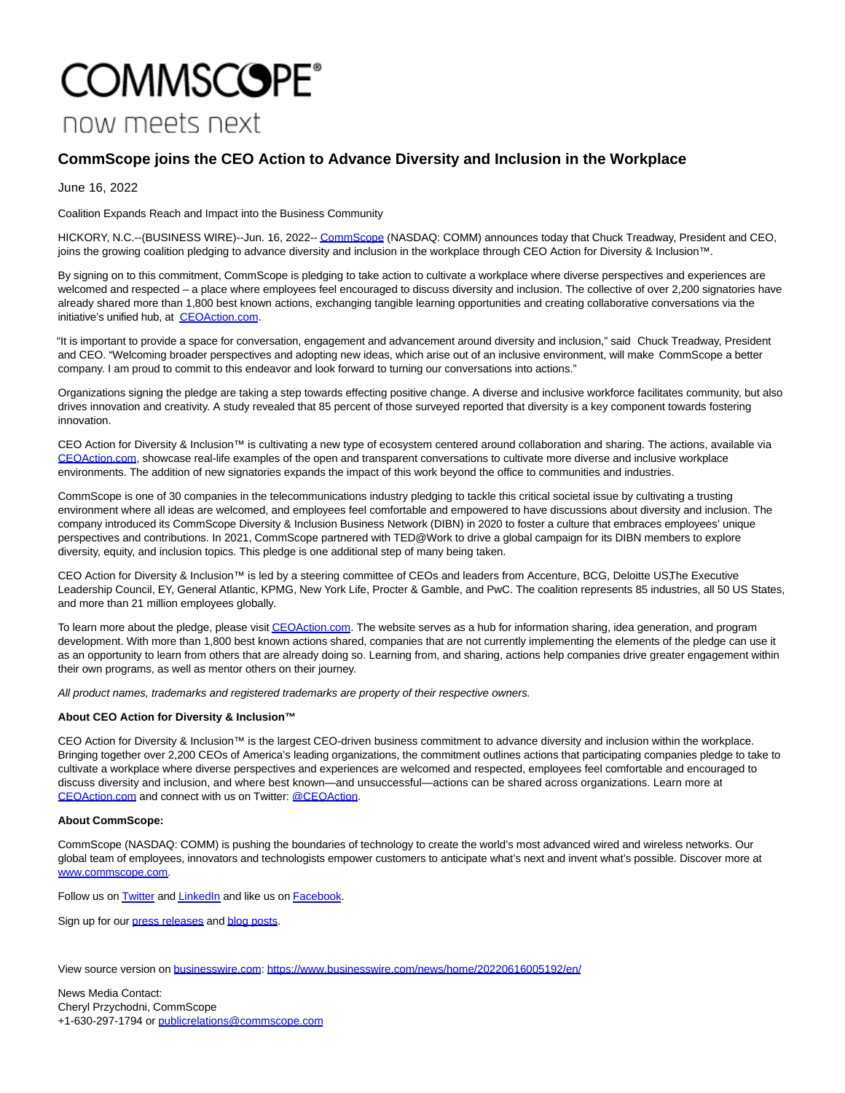## **COMMSCOPE®** now meets next

## **CommScope joins the CEO Action to Advance Diversity and Inclusion in the Workplace**

June 16, 2022

Coalition Expands Reach and Impact into the Business Community

HICKORY, N.C.--(BUSINESS WIRE)--Jun. 16, 2022-[- CommScope \(](https://cts.businesswire.com/ct/CT?id=smartlink&url=https%3A%2F%2Fwww.commscope.com%2F&esheet=52751195&newsitemid=20220616005192&lan=en-US&anchor=CommScope&index=1&md5=6f04db692f835a81150744f498be94fa)NASDAQ: COMM) announces today that Chuck Treadway, President and CEO, joins the growing coalition pledging to advance diversity and inclusion in the workplace through CEO Action for Diversity & Inclusion™.

By signing on to this commitment, CommScope is pledging to take action to cultivate a workplace where diverse perspectives and experiences are welcomed and respected – a place where employees feel encouraged to discuss diversity and inclusion. The collective of over 2,200 signatories have already shared more than 1,800 best known actions, exchanging tangible learning opportunities and creating collaborative conversations via the initiative's unified hub, at [CEOAction.com.](https://cts.businesswire.com/ct/CT?id=smartlink&url=http%3A%2F%2Fwww.ceoaction.com&esheet=52751195&newsitemid=20220616005192&lan=en-US&anchor=CEOAction.com&index=2&md5=5346ddf7ee5bbf27448ea8d2f97609c7)

"It is important to provide a space for conversation, engagement and advancement around diversity and inclusion," said Chuck Treadway, President and CEO. "Welcoming broader perspectives and adopting new ideas, which arise out of an inclusive environment, will make CommScope a better company. I am proud to commit to this endeavor and look forward to turning our conversations into actions."

Organizations signing the pledge are taking a step towards effecting positive change. A diverse and inclusive workforce facilitates community, but also drives innovation and creativity. A study revealed that 85 percent of those surveyed reported that diversity is a key component towards fostering innovation.

CEO Action for Diversity & Inclusion™ is cultivating a new type of ecosystem centered around collaboration and sharing. The actions, available via [CEOAction.com,](http://ceoaction.com/) showcase real-life examples of the open and transparent conversations to cultivate more diverse and inclusive workplace environments. The addition of new signatories expands the impact of this work beyond the office to communities and industries.

CommScope is one of 30 companies in the telecommunications industry pledging to tackle this critical societal issue by cultivating a trusting environment where all ideas are welcomed, and employees feel comfortable and empowered to have discussions about diversity and inclusion. The company introduced its CommScope Diversity & Inclusion Business Network (DIBN) in 2020 to foster a culture that embraces employees' unique perspectives and contributions. In 2021, CommScope partnered with TED@Work to drive a global campaign for its DIBN members to explore diversity, equity, and inclusion topics. This pledge is one additional step of many being taken.

CEO Action for Diversity & Inclusion™ is led by a steering committee of CEOs and leaders from Accenture, BCG, Deloitte US, The Executive Leadership Council, EY, General Atlantic, KPMG, New York Life, Procter & Gamble, and PwC. The coalition represents 85 industries, all 50 US States, and more than 21 million employees globally.

To learn more about the pledge, please visi[t CEOAction.com.](http://ceoaction.com/) The website serves as a hub for information sharing, idea generation, and program development. With more than 1,800 best known actions shared, companies that are not currently implementing the elements of the pledge can use it as an opportunity to learn from others that are already doing so. Learning from, and sharing, actions help companies drive greater engagement within their own programs, as well as mentor others on their journey.

All product names, trademarks and registered trademarks are property of their respective owners.

## **About CEO Action for Diversity & Inclusion™**

CEO Action for Diversity & Inclusion™ is the largest CEO-driven business commitment to advance diversity and inclusion within the workplace. Bringing together over 2,200 CEOs of America's leading organizations, the commitment outlines actions that participating companies pledge to take to cultivate a workplace where diverse perspectives and experiences are welcomed and respected, employees feel comfortable and encouraged to discuss diversity and inclusion, and where best known—and unsuccessful—actions can be shared across organizations. Learn more at [CEOAction.com a](https://cts.businesswire.com/ct/CT?id=smartlink&url=http%3A%2F%2Fwww.CEOAction.com&esheet=52751195&newsitemid=20220616005192&lan=en-US&anchor=CEOAction.com&index=3&md5=a80920f8670d5a9d46ecffca7991ff96)nd connect with us on Twitter: [@CEOAction.](https://cts.businesswire.com/ct/CT?id=smartlink&url=http%3A%2F%2Fwww.twitter.com%2FCEOAction&esheet=52751195&newsitemid=20220616005192&lan=en-US&anchor=%40CEOAction&index=4&md5=2b81f22897359f3223776dfdb2d67b13)

## **About CommScope:**

CommScope (NASDAQ: COMM) is pushing the boundaries of technology to create the world's most advanced wired and wireless networks. Our global team of employees, innovators and technologists empower customers to anticipate what's next and invent what's possible. Discover more at [www.commscope.com.](https://cts.businesswire.com/ct/CT?id=smartlink&url=https%3A%2F%2Fwww.commscope.com%2F&esheet=52751195&newsitemid=20220616005192&lan=en-US&anchor=www.commscope.com&index=5&md5=195faed17f37c0f546afd640e1fd42e0)

Follow us on **Twitter** and **LinkedIn** and like us on **Facebook**.

Sign up for our [press releases a](https://cts.businesswire.com/ct/CT?id=smartlink&url=https%3A%2F%2Fwww.commscope.com%2Fpress-releases%2F2021%2Fcommscope-announces-availability-of-remote-phy-and-remote-macphy-device-for-field-deployment%2F&esheet=52751195&newsitemid=20220616005192&lan=en-US&anchor=press+releases&index=9&md5=225e7f5d91a98503bb224c949960ab24)n[d blog posts.](https://cts.businesswire.com/ct/CT?id=smartlink&url=https%3A%2F%2Fwww.commscope.com%2Fblog%2F&esheet=52751195&newsitemid=20220616005192&lan=en-US&anchor=blog+posts&index=10&md5=07cc7aec7ea635521021050b8152396a)

View source version on [businesswire.com:](http://businesswire.com/)<https://www.businesswire.com/news/home/20220616005192/en/>

News Media Contact: Cheryl Przychodni, CommScope +1-630-297-1794 or [publicrelations@commscope.com](mailto:publicrelations@commscope.com)